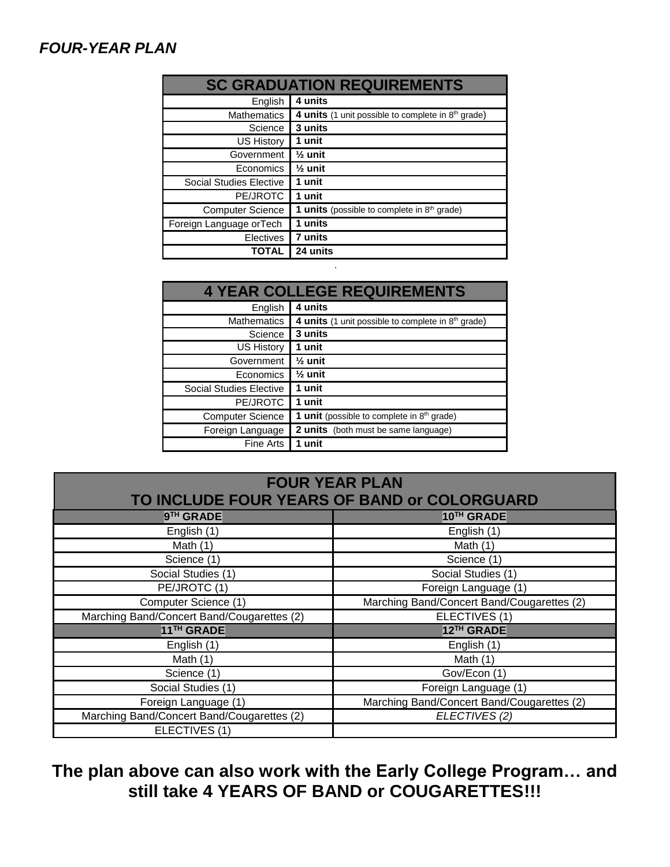## *FOUR-YEAR PLAN*

| <b>SC GRADUATION REQUIREMENTS</b> |                                                         |  |  |  |
|-----------------------------------|---------------------------------------------------------|--|--|--|
| English                           | 4 units                                                 |  |  |  |
| <b>Mathematics</b>                | 4 units (1 unit possible to complete in $8th$ grade)    |  |  |  |
| Science                           | 3 units                                                 |  |  |  |
| <b>US History</b>                 | 1 unit                                                  |  |  |  |
| Government                        | $\frac{1}{2}$ unit                                      |  |  |  |
| Economics                         | $\frac{1}{2}$ unit                                      |  |  |  |
| <b>Social Studies Elective</b>    | 1 unit                                                  |  |  |  |
| PE/JROTC                          | 1 unit                                                  |  |  |  |
| <b>Computer Science</b>           | 1 units (possible to complete in 8 <sup>th</sup> grade) |  |  |  |
| Foreign Language or Tech          | 1 units                                                 |  |  |  |
| <b>Electives</b>                  | 7 units                                                 |  |  |  |
| <b>TOTAL</b>                      | 24 units                                                |  |  |  |

| <b>4 YEAR COLLEGE REQUIREMENTS</b> |                                                                |  |  |  |  |
|------------------------------------|----------------------------------------------------------------|--|--|--|--|
| English                            | 4 units                                                        |  |  |  |  |
| <b>Mathematics</b>                 | 4 units (1 unit possible to complete in 8 <sup>th</sup> grade) |  |  |  |  |
| Science                            | 3 units                                                        |  |  |  |  |
| US History                         | 1 unit                                                         |  |  |  |  |
| Government                         | $\frac{1}{2}$ unit                                             |  |  |  |  |
| Economics                          | $\frac{1}{2}$ unit                                             |  |  |  |  |
| <b>Social Studies Elective</b>     | 1 unit                                                         |  |  |  |  |
| PE/JROTC                           | 1 unit                                                         |  |  |  |  |
| <b>Computer Science</b>            | <b>1 unit</b> (possible to complete in $8th$ grade)            |  |  |  |  |
| Foreign Language                   | <b>2 units</b> (both must be same language)                    |  |  |  |  |
| Fine Arts                          | 1 unit                                                         |  |  |  |  |

*.*

| <b>FOUR YEAR PLAN</b><br>TO INCLUDE FOUR YEARS OF BAND or COLORGUARD |                                            |  |  |  |
|----------------------------------------------------------------------|--------------------------------------------|--|--|--|
| 9TH GRADE                                                            | 10TH GRADE                                 |  |  |  |
| English (1)                                                          | English (1)                                |  |  |  |
| Math $(1)$                                                           | Math $(1)$                                 |  |  |  |
| Science (1)                                                          | Science (1)                                |  |  |  |
| Social Studies (1)                                                   | Social Studies (1)                         |  |  |  |
| PE/JROTC (1)                                                         | Foreign Language (1)                       |  |  |  |
| Computer Science (1)                                                 | Marching Band/Concert Band/Cougarettes (2) |  |  |  |
| Marching Band/Concert Band/Cougarettes (2)                           | ELECTIVES (1)                              |  |  |  |
| 11TH GRADE                                                           | 12TH GRADE                                 |  |  |  |
| English (1)                                                          | English (1)                                |  |  |  |
| Math $(1)$                                                           | Math $(1)$                                 |  |  |  |
| Science (1)                                                          | Gov/Econ (1)                               |  |  |  |
| Social Studies (1)                                                   | Foreign Language (1)                       |  |  |  |
| Foreign Language (1)                                                 | Marching Band/Concert Band/Cougarettes (2) |  |  |  |
| Marching Band/Concert Band/Cougarettes (2)                           | ELECTIVES (2)                              |  |  |  |
| ELECTIVES (1)                                                        |                                            |  |  |  |

## **The plan above can also work with the Early College Program… and still take 4 YEARS OF BAND or COUGARETTES!!!**